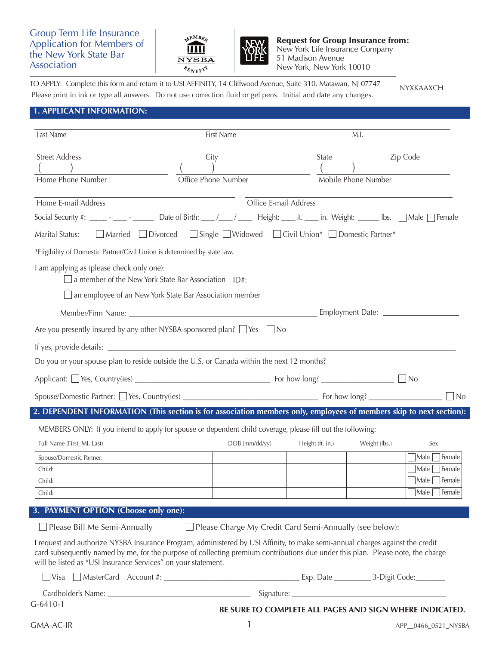## Group Term Life Insurance Application for Members of the New York State Bar Association





Request for Group Insurance from: New York Life Insurance Company 51 Madison Avenue New York, New York 10010

TO APPLY: Complete this form and return it to USI AFFINITY, 14 Cliffwood Avenue, Suite 310, Matawan, NJ 07747 Please print in ink or type all answers. Do not use correction fluid or gel pens. Initial and date any changes. NYXKAAXCH

## **1. APPLICANT INFORMATION:**

| Last Name                                                                                                                                                                                                                                                                                                                                                                | First Name                                                                                          |                  | M.I.                |                                                                                                         |
|--------------------------------------------------------------------------------------------------------------------------------------------------------------------------------------------------------------------------------------------------------------------------------------------------------------------------------------------------------------------------|-----------------------------------------------------------------------------------------------------|------------------|---------------------|---------------------------------------------------------------------------------------------------------|
| <b>Street Address</b><br>Home Phone Number                                                                                                                                                                                                                                                                                                                               | City<br>Office Phone Number                                                                         | State            | Mobile Phone Number | Zip Code                                                                                                |
| Home E-mail Address<br>Social Security #: ______ - ______ Date of Birth: ___/___/ ____ Height: ____ ft. ____ in. Weight: _____ Ibs. Male Female<br>Marital Status:<br>*Eligibility of Domestic Partner/Civil Union is determined by state law.                                                                                                                           | Office E-mail Address<br>□ Married □ Divorced □ Single □ Widowed □ Civil Union* □ Domestic Partner* |                  |                     |                                                                                                         |
| I am applying as (please check only one):<br>$\Box$ an employee of an New York State Bar Association member<br>Are you presently insured by any other NYSBA-sponsored plan? □ Yes □ No                                                                                                                                                                                   | $\Box$ a member of the New York State Bar Association $\Box$ ID#: $\Box$                            |                  |                     |                                                                                                         |
| Do you or your spouse plan to reside outside the U.S. or Canada within the next 12 months?                                                                                                                                                                                                                                                                               |                                                                                                     |                  |                     |                                                                                                         |
|                                                                                                                                                                                                                                                                                                                                                                          |                                                                                                     |                  |                     | N <sub>O</sub>                                                                                          |
| 2. DEPENDENT INFORMATION (This section is for association members only, employees of members skip to next section):                                                                                                                                                                                                                                                      |                                                                                                     |                  |                     |                                                                                                         |
| MEMBERS ONLY: If you intend to apply for spouse or dependent child coverage, please fill out the following:<br>Full Name (First, MI, Last)<br>Spouse/Domestic Partner:<br>Child:<br>Child:<br>Child:                                                                                                                                                                     | DOB (mm/dd/yy)                                                                                      | Height (ft. in.) | Weight (lbs.)       | Sex<br>$\lceil$ Male $\lceil$ Female<br>$\exists$ Male<br>Female<br>Male<br>Female<br> Male  <br>Female |
| 3. PAYMENT OPTION (Choose only one):                                                                                                                                                                                                                                                                                                                                     |                                                                                                     |                  |                     |                                                                                                         |
| $\Box$ Please Bill Me Semi-Annually<br>I request and authorize NYSBA Insurance Program, administered by USI Affinity, to make semi-annual charges against the credit<br>card subsequently named by me, for the purpose of collecting premium contributions due under this plan. Please note, the charge<br>will be listed as "USI Insurance Services" on your statement. | $\Box$ Please Charge My Credit Card Semi-Annually (see below):                                      |                  |                     |                                                                                                         |
|                                                                                                                                                                                                                                                                                                                                                                          |                                                                                                     |                  |                     |                                                                                                         |
| $G-6410-1$                                                                                                                                                                                                                                                                                                                                                               | BE SURE TO COMPLETE ALL PAGES AND SIGN WHERE INDICATED.                                             |                  |                     |                                                                                                         |
| GMA-AC-IR                                                                                                                                                                                                                                                                                                                                                                | 1                                                                                                   |                  |                     | APP_0466_0521_NYSBA                                                                                     |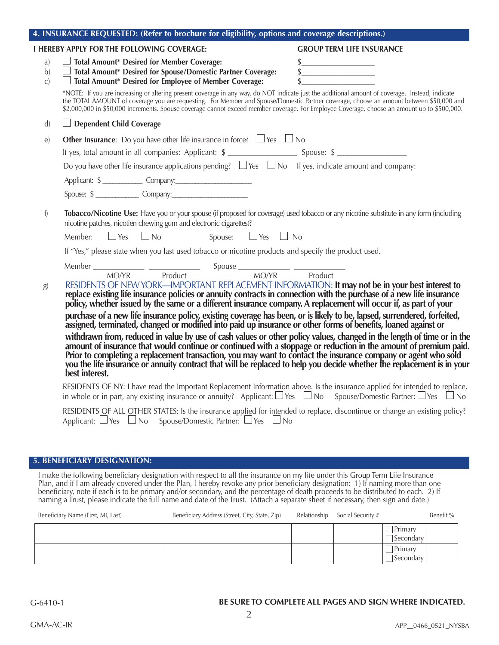|                          | 4. INSURAINCE REQUESTED: (Refer to brochure for eligibility, options and coverage descriptions.)                                                                                                                                                                                                                                                                                                                                                                                                                                                                                                                                                                                                                                                                                                                                                                                                                                                                                                                                                                                                   |                                  |
|--------------------------|----------------------------------------------------------------------------------------------------------------------------------------------------------------------------------------------------------------------------------------------------------------------------------------------------------------------------------------------------------------------------------------------------------------------------------------------------------------------------------------------------------------------------------------------------------------------------------------------------------------------------------------------------------------------------------------------------------------------------------------------------------------------------------------------------------------------------------------------------------------------------------------------------------------------------------------------------------------------------------------------------------------------------------------------------------------------------------------------------|----------------------------------|
|                          | <b>I HEREBY APPLY FOR THE FOLLOWING COVERAGE:</b>                                                                                                                                                                                                                                                                                                                                                                                                                                                                                                                                                                                                                                                                                                                                                                                                                                                                                                                                                                                                                                                  | <b>GROUP TERM LIFE INSURANCE</b> |
| a)<br>b)<br>$\mathbf{C}$ | $\Box$ Total Amount* Desired for Member Coverage:<br>□ lotal Amount* Desired for Member Coverage:<br>□ Total Amount* Desired for Spouse/Domestic Partner Coverage:<br>$\Box$ Total Amount* Desired for Employee of Member Coverage:                                                                                                                                                                                                                                                                                                                                                                                                                                                                                                                                                                                                                                                                                                                                                                                                                                                                | $\frac{1}{2}$<br>$\frac{1}{2}$   |
|                          | *NOTE: If you are increasing or altering present coverage in any way, do NOT indicate just the additional amount of coverage. Instead, indicate<br>the TOTAL AMOUNT of coverage you are requesting. For Member and Spouse/Domesti<br>\$2,000,000 in \$50,000 increments. Spouse coverage cannot exceed member coverage. For Employee Coverage, choose an amount up to \$500,000.                                                                                                                                                                                                                                                                                                                                                                                                                                                                                                                                                                                                                                                                                                                   |                                  |
| $\mathbf{d}$             | $\Box$ Dependent Child Coverage                                                                                                                                                                                                                                                                                                                                                                                                                                                                                                                                                                                                                                                                                                                                                                                                                                                                                                                                                                                                                                                                    |                                  |
| $\epsilon$               | <b>Other Insurance:</b> Do you have other life insurance in force? $\Box$ Yes $\Box$ No                                                                                                                                                                                                                                                                                                                                                                                                                                                                                                                                                                                                                                                                                                                                                                                                                                                                                                                                                                                                            |                                  |
|                          |                                                                                                                                                                                                                                                                                                                                                                                                                                                                                                                                                                                                                                                                                                                                                                                                                                                                                                                                                                                                                                                                                                    |                                  |
|                          | Do you have other life insurance applications pending? $\Box$ Yes $\Box$ No If yes, indicate amount and company:                                                                                                                                                                                                                                                                                                                                                                                                                                                                                                                                                                                                                                                                                                                                                                                                                                                                                                                                                                                   |                                  |
|                          | Applicant: \$                                                                                                                                                                                                                                                                                                                                                                                                                                                                                                                                                                                                                                                                                                                                                                                                                                                                                                                                                                                                                                                                                      |                                  |
|                          | Spouse: \$                                                                                                                                                                                                                                                                                                                                                                                                                                                                                                                                                                                                                                                                                                                                                                                                                                                                                                                                                                                                                                                                                         |                                  |
| f)                       | Tobacco/Nicotine Use: Have you or your spouse (if proposed for coverage) used tobacco or any nicotine substitute in any form (including<br>nicotine patches, nicotien chewing gum and electronic cigarettes)?                                                                                                                                                                                                                                                                                                                                                                                                                                                                                                                                                                                                                                                                                                                                                                                                                                                                                      |                                  |
|                          | Member: $\Box$ Yes $\Box$ No<br>Spouse: $\Box$ Yes $\Box$ No                                                                                                                                                                                                                                                                                                                                                                                                                                                                                                                                                                                                                                                                                                                                                                                                                                                                                                                                                                                                                                       |                                  |
|                          | If "Yes," please state when you last used tobacco or nicotine products and specify the product used.                                                                                                                                                                                                                                                                                                                                                                                                                                                                                                                                                                                                                                                                                                                                                                                                                                                                                                                                                                                               |                                  |
|                          |                                                                                                                                                                                                                                                                                                                                                                                                                                                                                                                                                                                                                                                                                                                                                                                                                                                                                                                                                                                                                                                                                                    |                                  |
| $\bf g$                  | RESIDENTS OF NEW YORK—IMPORTANT REPLACEMENT INFORMATION: It may not be in your best interest to<br>replace existing life insurance policies or annuity contracts in connection with the purchase of a new life insurance<br>policy, whether issued by the same or a different insurance company. A replacement will occur if, as par<br>purchase of a new life insurance policy, existing coverage has been, or is likely to be, lapsed, surrendered, forfeited, assigned, terminated, changed or modified into paid up insurance or other forms of benefits, loaned a<br>withdrawn from, reduced in value by use of cash values or other policy values, changed in the length of time or in the amount of insurance that would continue or continued with a stoppage or reduction in the amount of prem<br>best interest.<br>RESIDENTS OF NY: I have read the Important Replacement Information above. Is the insurance applied for intended to replace,<br>in whole or in part, any existing insurance or annuity? Applicant: $\Box$ Yes $\Box$ No Spouse/Domestic Partner: $\Box$ Yes $\Box$ No |                                  |
|                          | RESIDENTS OF ALL OTHER STATES: Is the insurance applied for intended to replace, discontinue or change an existing policy?                                                                                                                                                                                                                                                                                                                                                                                                                                                                                                                                                                                                                                                                                                                                                                                                                                                                                                                                                                         |                                  |
|                          | Applicant: $\Box$ Yes $\Box$ No Spouse/Domestic Partner: $\Box$ Yes $\Box$ No                                                                                                                                                                                                                                                                                                                                                                                                                                                                                                                                                                                                                                                                                                                                                                                                                                                                                                                                                                                                                      |                                  |

**4. INSURANCE REQUESTED: (Refer to brochure for eligibility, options and coverage descriptions.)**

## **5. BENEFICIARY DESIGNATION:**

I make the following beneficiary designation with respect to all the insurance on my life under this Group Term Life Insurance Plan, and if I am already covered under the Plan, I hereby revoke any prior beneficiary designation: 1) If naming more than one beneficiary, note if each is to be primary and/or secondary, and the percentage of death proceeds to be distributed to each. 2) If naming a Trust, please indicate the full name and date of the Trust. (Attach a separate sheet if necessary, then sign and date.)

| Beneficiary Name (First, MI, Last) | Beneficiary Address (Street, City, State, Zip) | Relationship | Social Security # |                                  | Benefit % |
|------------------------------------|------------------------------------------------|--------------|-------------------|----------------------------------|-----------|
|                                    |                                                |              |                   | Primary<br>$\exists$ Secondary   |           |
|                                    |                                                |              |                   | Primary<br>$\sqsupset$ Secondary |           |

# **BE SURE TO COMPLETE ALL PAGES AND SIGN WHERE INDICATED.**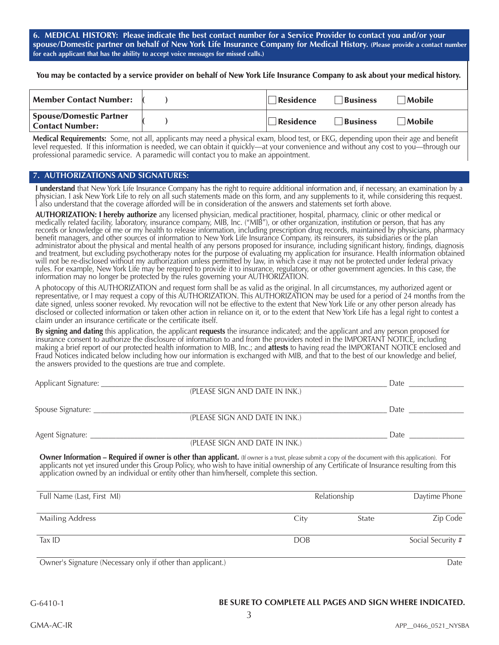**6. MEDICAL HISTORY: Please indicate the best contact number for a Service Provider to contact you and/or your spouse/Domestic partner on behalf of New York Life Insurance Company for Medical History. (Please provide a contact number for each applicant that has the ability to accept voice messages for missed calls.)**

You may be contacted by a service provider on behalf of New York Life Insurance Company to ask about your medical history.

| <b>Member Contact Number:</b>                            | Residence | <b>Business</b> | <i>Mobile</i> |
|----------------------------------------------------------|-----------|-----------------|---------------|
| <b>Spouse/Domestic Partner</b><br><b>Contact Number:</b> | Residence | <b>Business</b> | Mobile        |

**Medical Requirements:** Some, not all, applicants may need a physical exam, blood test, or EKG, depending upon their age and benefit level requested. If this information is needed, we can obtain it quickly—at your convenience and without any cost to you—through our professional paramedic service. A paramedic will contact you to make an appointment.

#### **7. AUTHORIZATIONS AND SIGNATURES:**

**I understand** that New York Life Insurance Company has the right to require additional information and, if necessary, an examination by a<br>physician. I ask New York Life to rely on all such statements made on this form, an I also understand that the coverage afforded will be in consideration of the answers and statements set forth above.

**AUTHORIZATION: I hereby authorize** any licensed physician, medical practitioner, hospital, pharmacy, clinic or other medical or<br>medically related facility, laboratory, insurance company, MIB, Inc. ("MIB"), or other organi records or knowledge of me or my health to release information, including prescription drug records, maintained by physicians, pharmacy benefit managers, and other sources of information to New York Life Insurance Company, its reinsurers, its subsidiaries or the plan administrator about the physical and mental health of any persons proposed for insurance, including significant history, findings, diagnosis and treatment, but excluding psychotherapy notes for the purpose of evaluating my application for insurance. Health information obtained will not be re-disclosed without my authorization unless permitted by law, in which case it may not be protected under federal privacy rules. For example, New York Life may be required to provide it to insurance, regulatory, or other government agencies. In this case, the information may no longer be protected by the rules governing your AUTHORIZATION.

A photocopy of this AUTHORIZATION and request form shall be as valid as the original. In all circumstances, my authorized agent or representative, or I may request a copy of this AUTHORIZATION. This AUTHORIZATION may be used for a period of 24 months from the date signed, unless sooner revoked. My revocation will not be effective to the extent that New York Life or any other person already has disclosed or collected information or taken other action in reliance on it, or to the extent that New York Life has a legal right to contest a claim under an insurance certificate or the certificate itself.

**By signing and dating** this application, the applicant **requests** the insurance indicated; and the applicant and any person proposed for insurance consent to authorize the disclosure of information to and from the providers noted in the IMPORTANT NOTICE, including making a brief report of our protected health information to MIB, Inc.; and **attests** to having read the IMPORTANT NOTICE enclosed and Fraud Notices indicated below including how our information is exchanged with MIB, and that to the best of our knowledge and belief, the answers provided to the questions are true and complete.

| Applicant Signature: |                                | Date  |
|----------------------|--------------------------------|-------|
|                      | (PLEASE SIGN AND DATE IN INK.) |       |
| Spouse Signature:    |                                | Date. |
|                      | (PLEASE SIGN AND DATE IN INK.) |       |
| Agent Signature:     |                                | Date  |
|                      | (PLEASE SIGN AND DATE IN INK.) |       |

**Owner Information – Required if owner is other than applicant.** (If owner is a trust, please submit a copy of the document with this application). For applicants not yet insured under this Group Policy, who wish to have initial ownership of any Certificate of Insurance resulting from this application owned by an individual or entity other than him/herself, complete this section.

| Full Name (Last, First MI)                                 | Relationship |       | Daytime Phone     |  |
|------------------------------------------------------------|--------------|-------|-------------------|--|
| <b>Mailing Address</b>                                     | City         | State | Zip Code          |  |
| Tax ID                                                     | <b>DOB</b>   |       | Social Security # |  |
| Owner's Signature (Necessary only if other than applicant) |              |       | ate (             |  |

Owner's Signature (Necessary only if other than applicant.) Date

### **BE SURE TO COMPLETE ALL PAGES AND SIGN WHERE INDICATED.**